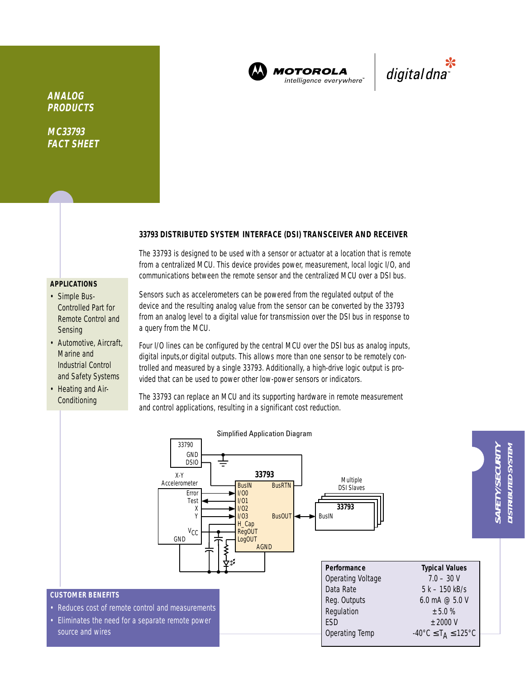

**MOTOROLA** intelligence everywhere<sup>®</sup>

\*<br>"digital dna

**ANALOG PRODUCTS**

**MC33793 FACT SHEET**

## **33793 DISTRIBUTED SYSTEM INTERFACE (DSI) TRANSCEIVER AND RECEIVER**

The 33793 is designed to be used with a sensor or actuator at a location that is remote from a centralized MCU. This device provides power, measurement, local logic I/O, and communications between the remote sensor and the centralized MCU over a DSI bus.

## **APPLICATIONS**

- Simple Bus-Controlled Part for Remote Control and Sensing
- Automotive, Aircraft, Marine and Industrial Control and Safety Systems
- Heating and Air-Conditioning

Sensors such as accelerometers can be powered from the regulated output of the device and the resulting analog value from the sensor can be converted by the 33793 from an analog level to a digital value for transmission over the DSI bus in response to a query from the MCU.

Four I/O lines can be configured by the central MCU over the DSI bus as analog inputs, digital inputs,or digital outputs. This allows more than one sensor to be remotely controlled and measured by a single 33793. Additionally, a high-drive logic output is provided that can be used to power other low-power sensors or indicators.

The 33793 can replace an MCU and its supporting hardware in remote measurement and control applications, resulting in a significant cost reduction.